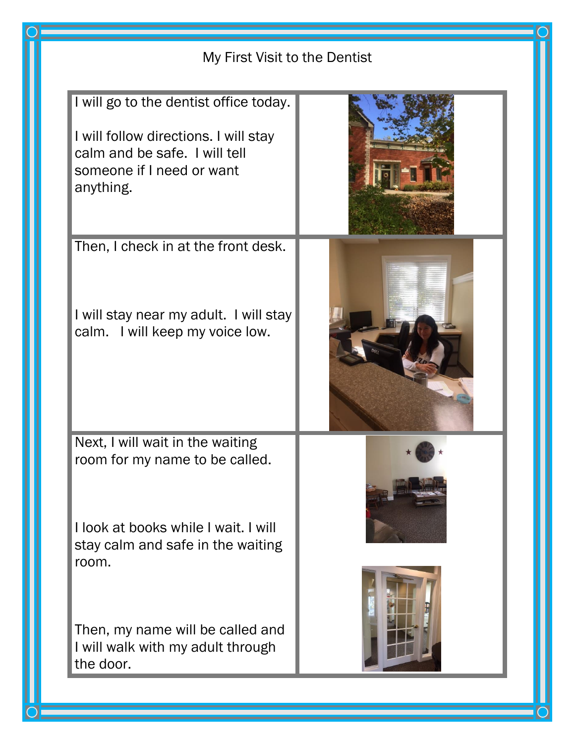| My First Visit to the Dentist                                                                                                                              |  |
|------------------------------------------------------------------------------------------------------------------------------------------------------------|--|
| I will go to the dentist office today.<br>I will follow directions. I will stay<br>calm and be safe. I will tell<br>someone if I need or want<br>anything. |  |
| Then, I check in at the front desk.<br>I will stay near my adult. I will stay<br>calm. I will keep my voice low.                                           |  |
| Next, I will wait in the waiting<br>room for my name to be called.<br>I look at books while I wait. I will<br>stay calm and safe in the waiting<br>room.   |  |
| Then, my name will be called and<br>I will walk with my adult through<br>the door.                                                                         |  |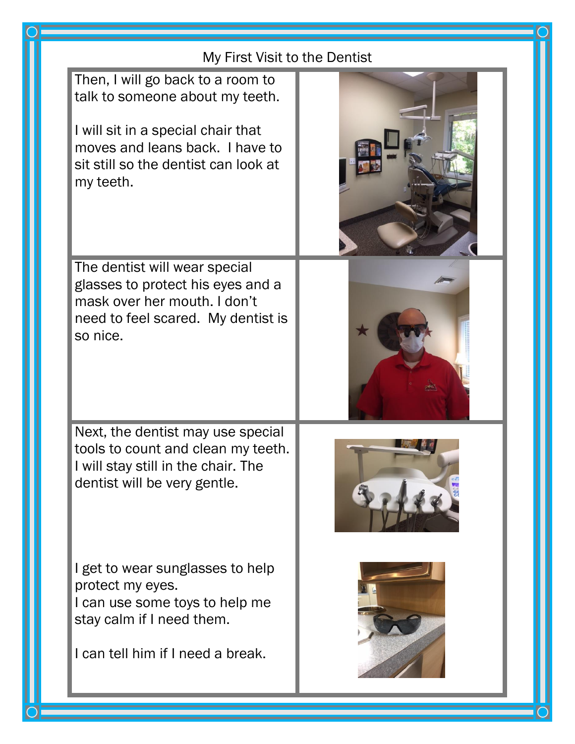| My First Visit to the Dentist                                                                                                                                                                      |  |
|----------------------------------------------------------------------------------------------------------------------------------------------------------------------------------------------------|--|
| Then, I will go back to a room to<br>talk to someone about my teeth.<br>I will sit in a special chair that<br>moves and leans back. I have to<br>sit still so the dentist can look at<br>my teeth. |  |
| The dentist will wear special<br>glasses to protect his eyes and a<br>mask over her mouth. I don't<br>need to feel scared. My dentist is<br>so nice.                                               |  |
| Next, the dentist may use special<br>tools to count and clean my teeth.<br>I will stay still in the chair. The<br>dentist will be very gentle.                                                     |  |
| I get to wear sunglasses to help<br>protect my eyes.<br>I can use some toys to help me<br>stay calm if I need them.<br>I can tell him if I need a break.                                           |  |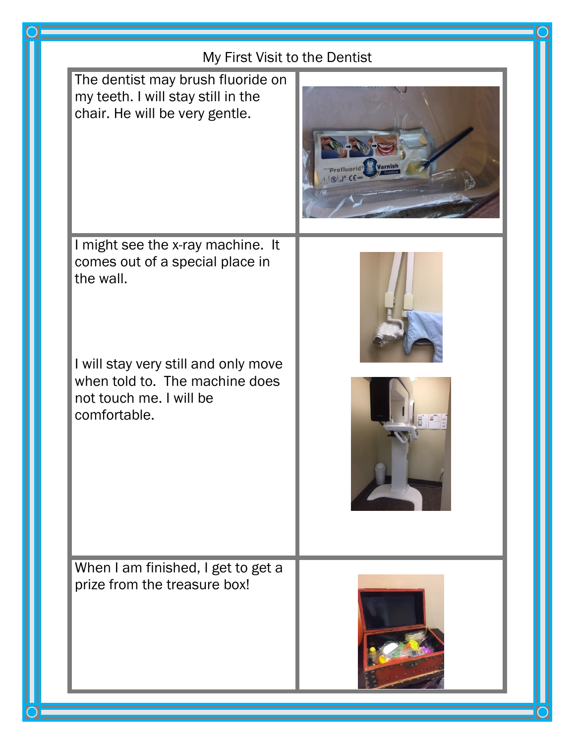